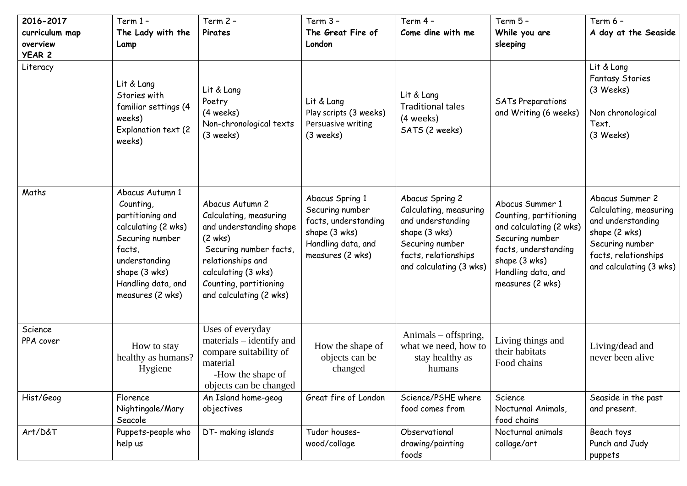| 2016-2017<br>curriculum map<br>overview<br><b>YEAR 2</b> | Term 1-<br>The Lady with the<br>Lamp                                                                                                                                             | Term 2 -<br>Pirates                                                                                                                                                                                        | Term $3 -$<br>The Great Fire of<br>London                                                                             | Term 4 -<br>Come dine with me                                                                                                                         | Term 5 -<br>While you are<br>sleeping                                                                                                                                      | Term 6 -<br>A day at the Seaside                                                                                                                      |
|----------------------------------------------------------|----------------------------------------------------------------------------------------------------------------------------------------------------------------------------------|------------------------------------------------------------------------------------------------------------------------------------------------------------------------------------------------------------|-----------------------------------------------------------------------------------------------------------------------|-------------------------------------------------------------------------------------------------------------------------------------------------------|----------------------------------------------------------------------------------------------------------------------------------------------------------------------------|-------------------------------------------------------------------------------------------------------------------------------------------------------|
| Literacy                                                 | Lit & Lang<br>Stories with<br>familiar settings (4<br>weeks)<br>Explanation text (2<br>weeks)                                                                                    | Lit & Lang<br>Poetry<br>(4 weeks)<br>Non-chronological texts<br>$(3$ weeks)                                                                                                                                | Lit & Lang<br>Play scripts (3 weeks)<br>Persuasive writing<br>$(3$ weeks)                                             | Lit & Lang<br><b>Traditional tales</b><br>(4 weeks)<br>SATS (2 weeks)                                                                                 | <b>SATs Preparations</b><br>and Writing (6 weeks)                                                                                                                          | Lit & Lang<br><b>Fantasy Stories</b><br>(3 Weeks)<br>Non chronological<br>Text.<br>(3 Weeks)                                                          |
| Maths                                                    | Abacus Autumn 1<br>Counting,<br>partitioning and<br>calculating (2 wks)<br>Securing number<br>facts,<br>understanding<br>shape (3 wks)<br>Handling data, and<br>measures (2 wks) | Abacus Autumn 2<br>Calculating, measuring<br>and understanding shape<br>(2 wks)<br>Securing number facts,<br>relationships and<br>calculating (3 wks)<br>Counting, partitioning<br>and calculating (2 wks) | Abacus Spring 1<br>Securing number<br>facts, understanding<br>shape (3 wks)<br>Handling data, and<br>measures (2 wks) | Abacus Spring 2<br>Calculating, measuring<br>and understanding<br>shape (3 wks)<br>Securing number<br>facts, relationships<br>and calculating (3 wks) | Abacus Summer 1<br>Counting, partitioning<br>and calculating (2 wks)<br>Securing number<br>facts, understanding<br>shape (3 wks)<br>Handling data, and<br>measures (2 wks) | Abacus Summer 2<br>Calculating, measuring<br>and understanding<br>shape (2 wks)<br>Securing number<br>facts, relationships<br>and calculating (3 wks) |
| Science<br>PPA cover                                     | How to stay<br>healthy as humans?<br>Hygiene                                                                                                                                     | Uses of everyday<br>materials – identify and<br>compare suitability of<br>material<br>-How the shape of<br>objects can be changed                                                                          | How the shape of<br>objects can be<br>changed                                                                         | Animals - offspring,<br>what we need, how to<br>stay healthy as<br>humans                                                                             | Living things and<br>their habitats<br>Food chains                                                                                                                         | Living/dead and<br>never been alive                                                                                                                   |
| Hist/Geog                                                | Florence<br>Nightingale/Mary<br>Seacole                                                                                                                                          | An Island home-geog<br>objectives                                                                                                                                                                          | Great fire of London                                                                                                  | Science/PSHE where<br>food comes from                                                                                                                 | Science<br>Nocturnal Animals,<br>food chains                                                                                                                               | Seaside in the past<br>and present.                                                                                                                   |
| Art/D&T                                                  | Puppets-people who<br>help us                                                                                                                                                    | DT- making islands                                                                                                                                                                                         | Tudor houses-<br>wood/collage                                                                                         | Observational<br>drawing/painting<br>foods                                                                                                            | Nocturnal animals<br>collage/art                                                                                                                                           | Beach toys<br>Punch and Judy<br>puppets                                                                                                               |